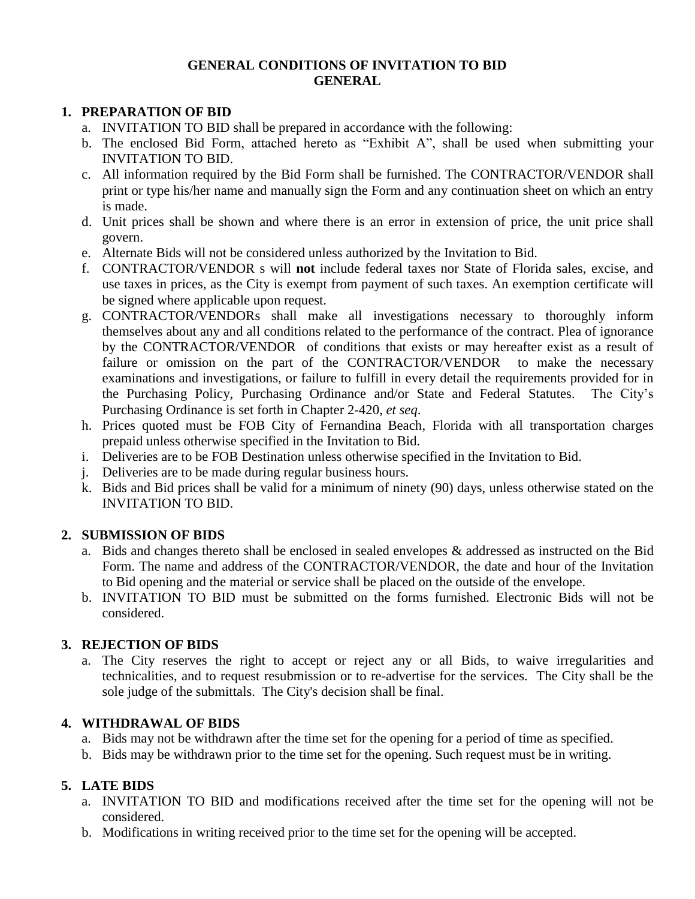## **GENERAL CONDITIONS OF INVITATION TO BID GENERAL**

# **1. PREPARATION OF BID**

- a. INVITATION TO BID shall be prepared in accordance with the following:
- b. The enclosed Bid Form, attached hereto as "Exhibit A", shall be used when submitting your INVITATION TO BID.
- c. All information required by the Bid Form shall be furnished. The CONTRACTOR/VENDOR shall print or type his/her name and manually sign the Form and any continuation sheet on which an entry is made.
- d. Unit prices shall be shown and where there is an error in extension of price, the unit price shall govern.
- e. Alternate Bids will not be considered unless authorized by the Invitation to Bid.
- f. CONTRACTOR/VENDOR s will **not** include federal taxes nor State of Florida sales, excise, and use taxes in prices, as the City is exempt from payment of such taxes. An exemption certificate will be signed where applicable upon request.
- g. CONTRACTOR/VENDORs shall make all investigations necessary to thoroughly inform themselves about any and all conditions related to the performance of the contract. Plea of ignorance by the CONTRACTOR/VENDOR of conditions that exists or may hereafter exist as a result of failure or omission on the part of the CONTRACTOR/VENDOR to make the necessary examinations and investigations, or failure to fulfill in every detail the requirements provided for in the Purchasing Policy, Purchasing Ordinance and/or State and Federal Statutes. The City's Purchasing Ordinance is set forth in Chapter 2-420, *et seq*.
- h. Prices quoted must be FOB City of Fernandina Beach, Florida with all transportation charges prepaid unless otherwise specified in the Invitation to Bid.
- i. Deliveries are to be FOB Destination unless otherwise specified in the Invitation to Bid.
- j. Deliveries are to be made during regular business hours.
- k. Bids and Bid prices shall be valid for a minimum of ninety (90) days, unless otherwise stated on the INVITATION TO BID.

# **2. SUBMISSION OF BIDS**

- a. Bids and changes thereto shall be enclosed in sealed envelopes & addressed as instructed on the Bid Form. The name and address of the CONTRACTOR/VENDOR, the date and hour of the Invitation to Bid opening and the material or service shall be placed on the outside of the envelope.
- b. INVITATION TO BID must be submitted on the forms furnished. Electronic Bids will not be considered.

# **3. REJECTION OF BIDS**

a. The City reserves the right to accept or reject any or all Bids, to waive irregularities and technicalities, and to request resubmission or to re-advertise for the services. The City shall be the sole judge of the submittals. The City's decision shall be final.

# **4. WITHDRAWAL OF BIDS**

- a. Bids may not be withdrawn after the time set for the opening for a period of time as specified.
- b. Bids may be withdrawn prior to the time set for the opening. Such request must be in writing.

# **5. LATE BIDS**

- a. INVITATION TO BID and modifications received after the time set for the opening will not be considered.
- b. Modifications in writing received prior to the time set for the opening will be accepted.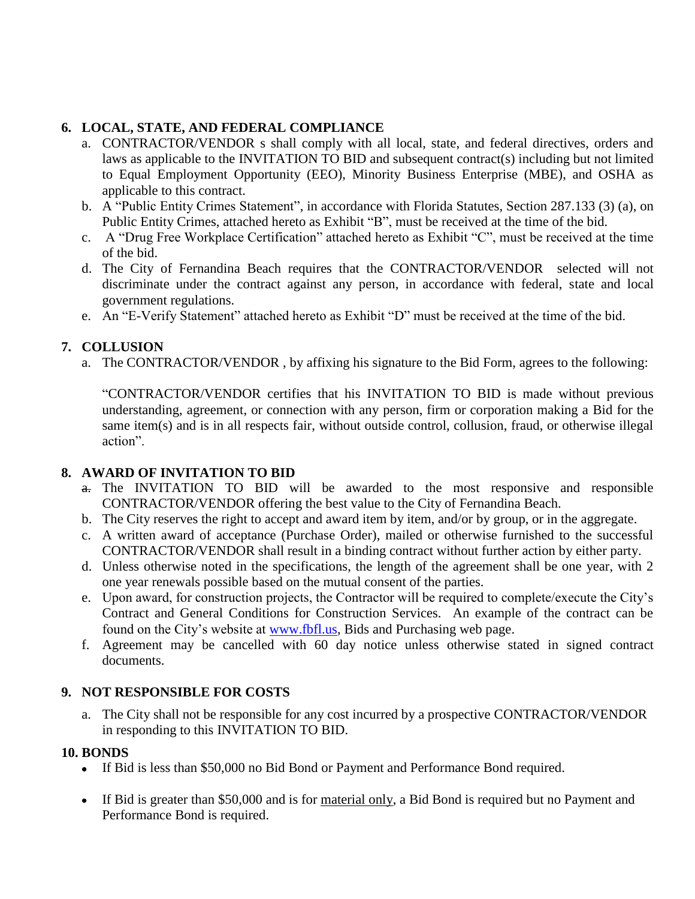# **6. LOCAL, STATE, AND FEDERAL COMPLIANCE**

- a. CONTRACTOR/VENDOR s shall comply with all local, state, and federal directives, orders and laws as applicable to the INVITATION TO BID and subsequent contract(s) including but not limited to Equal Employment Opportunity (EEO), Minority Business Enterprise (MBE), and OSHA as applicable to this contract.
- b. A "Public Entity Crimes Statement", in accordance with Florida Statutes, Section 287.133 (3) (a), on Public Entity Crimes, attached hereto as Exhibit "B", must be received at the time of the bid.
- c. A "Drug Free Workplace Certification" attached hereto as Exhibit "C", must be received at the time of the bid.
- d. The City of Fernandina Beach requires that the CONTRACTOR/VENDOR selected will not discriminate under the contract against any person, in accordance with federal, state and local government regulations.
- e. An "E-Verify Statement" attached hereto as Exhibit "D" must be received at the time of the bid.

# **7. COLLUSION**

a. The CONTRACTOR/VENDOR , by affixing his signature to the Bid Form, agrees to the following:

"CONTRACTOR/VENDOR certifies that his INVITATION TO BID is made without previous understanding, agreement, or connection with any person, firm or corporation making a Bid for the same item(s) and is in all respects fair, without outside control, collusion, fraud, or otherwise illegal action".

# **8. AWARD OF INVITATION TO BID**

- a. The INVITATION TO BID will be awarded to the most responsive and responsible CONTRACTOR/VENDOR offering the best value to the City of Fernandina Beach.
- b. The City reserves the right to accept and award item by item, and/or by group, or in the aggregate.
- c. A written award of acceptance (Purchase Order), mailed or otherwise furnished to the successful CONTRACTOR/VENDOR shall result in a binding contract without further action by either party.
- d. Unless otherwise noted in the specifications, the length of the agreement shall be one year, with 2 one year renewals possible based on the mutual consent of the parties.
- e. Upon award, for construction projects, the Contractor will be required to complete/execute the City's Contract and General Conditions for Construction Services. An example of the contract can be found on the City's website at [www.fbfl.us,](http://www.fbfl.us/) Bids and Purchasing web page.
- f. Agreement may be cancelled with 60 day notice unless otherwise stated in signed contract documents.

# **9. NOT RESPONSIBLE FOR COSTS**

a. The City shall not be responsible for any cost incurred by a prospective CONTRACTOR/VENDOR in responding to this INVITATION TO BID.

# **10. BONDS**

- If Bid is less than \$50,000 no Bid Bond or Payment and Performance Bond required.
- If Bid is greater than \$50,000 and is for material only, a Bid Bond is required but no Payment and Performance Bond is required.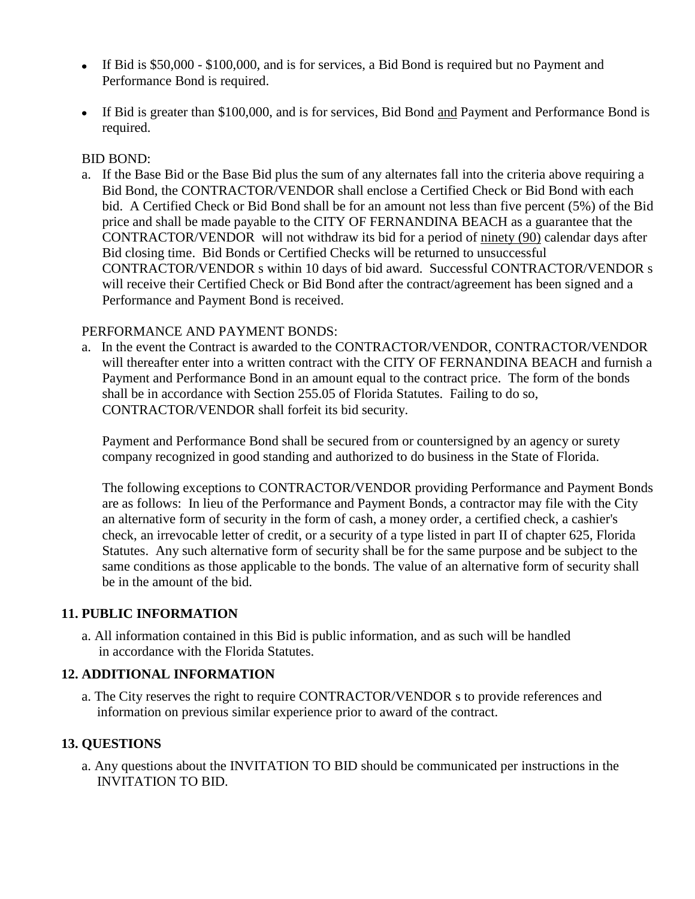- If Bid is \$50,000 \$100,000, and is for services, a Bid Bond is required but no Payment and Performance Bond is required.
- If Bid is greater than \$100,000, and is for services, Bid Bond and Payment and Performance Bond is required.

## BID BOND:

a. If the Base Bid or the Base Bid plus the sum of any alternates fall into the criteria above requiring a Bid Bond, the CONTRACTOR/VENDOR shall enclose a Certified Check or Bid Bond with each bid. A Certified Check or Bid Bond shall be for an amount not less than five percent (5%) of the Bid price and shall be made payable to the CITY OF FERNANDINA BEACH as a guarantee that the CONTRACTOR/VENDOR will not withdraw its bid for a period of ninety (90) calendar days after Bid closing time. Bid Bonds or Certified Checks will be returned to unsuccessful CONTRACTOR/VENDOR s within 10 days of bid award. Successful CONTRACTOR/VENDOR s will receive their Certified Check or Bid Bond after the contract/agreement has been signed and a Performance and Payment Bond is received.

# PERFORMANCE AND PAYMENT BONDS:

a. In the event the Contract is awarded to the CONTRACTOR/VENDOR, CONTRACTOR/VENDOR will thereafter enter into a written contract with the CITY OF FERNANDINA BEACH and furnish a Payment and Performance Bond in an amount equal to the contract price. The form of the bonds shall be in accordance with Section 255.05 of Florida Statutes. Failing to do so, CONTRACTOR/VENDOR shall forfeit its bid security.

Payment and Performance Bond shall be secured from or countersigned by an agency or surety company recognized in good standing and authorized to do business in the State of Florida.

The following exceptions to CONTRACTOR/VENDOR providing Performance and Payment Bonds are as follows: In lieu of the Performance and Payment Bonds, a contractor may file with the City an alternative form of security in the form of cash, a money order, a certified check, a cashier's check, an irrevocable letter of credit, or a security of a type listed in part II of chapter 625, Florida Statutes. Any such alternative form of security shall be for the same purpose and be subject to the same conditions as those applicable to the bonds. The value of an alternative form of security shall be in the amount of the bid.

# **11. PUBLIC INFORMATION**

a. All information contained in this Bid is public information, and as such will be handled in accordance with the Florida Statutes.

# **12. ADDITIONAL INFORMATION**

a. The City reserves the right to require CONTRACTOR/VENDOR s to provide references and information on previous similar experience prior to award of the contract.

# **13. QUESTIONS**

a. Any questions about the INVITATION TO BID should be communicated per instructions in the INVITATION TO BID.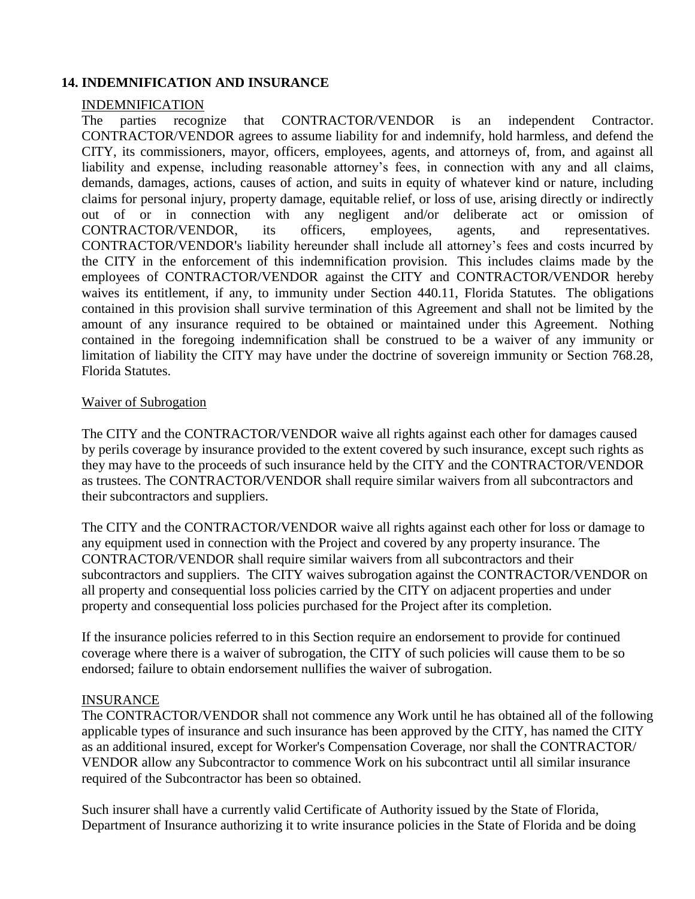## **14. INDEMNIFICATION AND INSURANCE**

#### INDEMNIFICATION

The parties recognize that CONTRACTOR/VENDOR is an independent Contractor. CONTRACTOR/VENDOR agrees to assume liability for and indemnify, hold harmless, and defend the CITY, its commissioners, mayor, officers, employees, agents, and attorneys of, from, and against all liability and expense, including reasonable attorney's fees, in connection with any and all claims, demands, damages, actions, causes of action, and suits in equity of whatever kind or nature, including claims for personal injury, property damage, equitable relief, or loss of use, arising directly or indirectly out of or in connection with any negligent and/or deliberate act or omission of CONTRACTOR/VENDOR, its officers, employees, agents, and representatives. CONTRACTOR/VENDOR's liability hereunder shall include all attorney's fees and costs incurred by the CITY in the enforcement of this indemnification provision. This includes claims made by the employees of CONTRACTOR/VENDOR against the CITY and CONTRACTOR/VENDOR hereby waives its entitlement, if any, to immunity under Section 440.11, Florida Statutes. The obligations contained in this provision shall survive termination of this Agreement and shall not be limited by the amount of any insurance required to be obtained or maintained under this Agreement. Nothing contained in the foregoing indemnification shall be construed to be a waiver of any immunity or limitation of liability the CITY may have under the doctrine of sovereign immunity or Section 768.28, Florida Statutes.

#### Waiver of Subrogation

The CITY and the CONTRACTOR/VENDOR waive all rights against each other for damages caused by perils coverage by insurance provided to the extent covered by such insurance, except such rights as they may have to the proceeds of such insurance held by the CITY and the CONTRACTOR/VENDOR as trustees. The CONTRACTOR/VENDOR shall require similar waivers from all subcontractors and their subcontractors and suppliers.

The CITY and the CONTRACTOR/VENDOR waive all rights against each other for loss or damage to any equipment used in connection with the Project and covered by any property insurance. The CONTRACTOR/VENDOR shall require similar waivers from all subcontractors and their subcontractors and suppliers. The CITY waives subrogation against the CONTRACTOR/VENDOR on all property and consequential loss policies carried by the CITY on adjacent properties and under property and consequential loss policies purchased for the Project after its completion.

If the insurance policies referred to in this Section require an endorsement to provide for continued coverage where there is a waiver of subrogation, the CITY of such policies will cause them to be so endorsed; failure to obtain endorsement nullifies the waiver of subrogation.

#### INSURANCE

The CONTRACTOR/VENDOR shall not commence any Work until he has obtained all of the following applicable types of insurance and such insurance has been approved by the CITY, has named the CITY as an additional insured, except for Worker's Compensation Coverage, nor shall the CONTRACTOR/ VENDOR allow any Subcontractor to commence Work on his subcontract until all similar insurance required of the Subcontractor has been so obtained.

Such insurer shall have a currently valid Certificate of Authority issued by the State of Florida, Department of Insurance authorizing it to write insurance policies in the State of Florida and be doing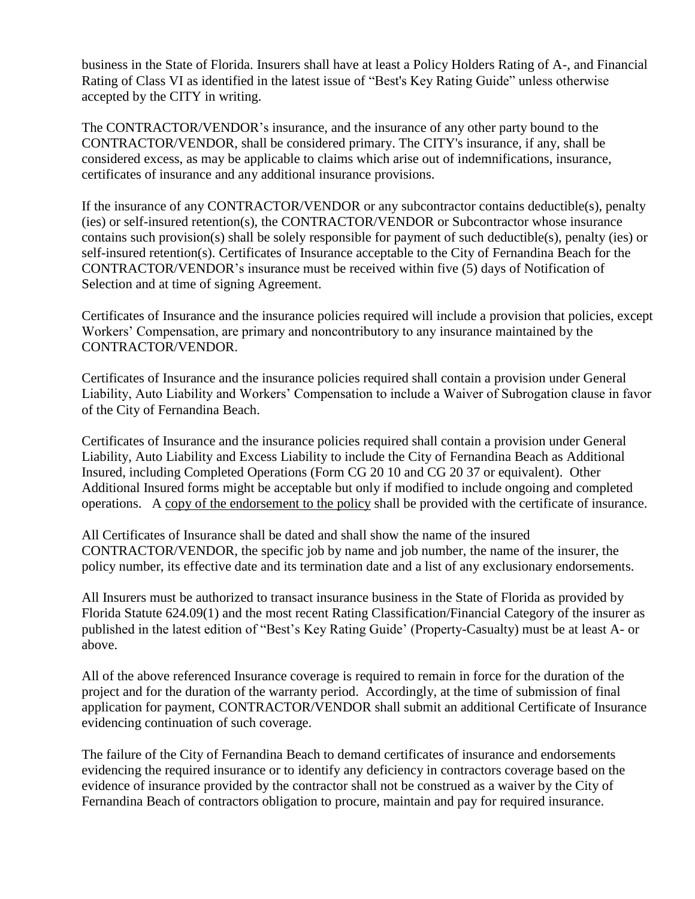business in the State of Florida. Insurers shall have at least a Policy Holders Rating of A-, and Financial Rating of Class VI as identified in the latest issue of "Best's Key Rating Guide" unless otherwise accepted by the CITY in writing.

The CONTRACTOR/VENDOR's insurance, and the insurance of any other party bound to the CONTRACTOR/VENDOR, shall be considered primary. The CITY's insurance, if any, shall be considered excess, as may be applicable to claims which arise out of indemnifications, insurance, certificates of insurance and any additional insurance provisions.

If the insurance of any CONTRACTOR/VENDOR or any subcontractor contains deductible(s), penalty (ies) or self-insured retention(s), the CONTRACTOR/VENDOR or Subcontractor whose insurance contains such provision(s) shall be solely responsible for payment of such deductible(s), penalty (ies) or self-insured retention(s). Certificates of Insurance acceptable to the City of Fernandina Beach for the CONTRACTOR/VENDOR's insurance must be received within five (5) days of Notification of Selection and at time of signing Agreement.

Certificates of Insurance and the insurance policies required will include a provision that policies, except Workers' Compensation, are primary and noncontributory to any insurance maintained by the CONTRACTOR/VENDOR.

Certificates of Insurance and the insurance policies required shall contain a provision under General Liability, Auto Liability and Workers' Compensation to include a Waiver of Subrogation clause in favor of the City of Fernandina Beach.

Certificates of Insurance and the insurance policies required shall contain a provision under General Liability, Auto Liability and Excess Liability to include the City of Fernandina Beach as Additional Insured, including Completed Operations (Form CG 20 10 and CG 20 37 or equivalent). Other Additional Insured forms might be acceptable but only if modified to include ongoing and completed operations. A copy of the endorsement to the policy shall be provided with the certificate of insurance.

All Certificates of Insurance shall be dated and shall show the name of the insured CONTRACTOR/VENDOR, the specific job by name and job number, the name of the insurer, the policy number, its effective date and its termination date and a list of any exclusionary endorsements.

All Insurers must be authorized to transact insurance business in the State of Florida as provided by Florida Statute 624.09(1) and the most recent Rating Classification/Financial Category of the insurer as published in the latest edition of "Best's Key Rating Guide' (Property-Casualty) must be at least A- or above.

All of the above referenced Insurance coverage is required to remain in force for the duration of the project and for the duration of the warranty period. Accordingly, at the time of submission of final application for payment, CONTRACTOR/VENDOR shall submit an additional Certificate of Insurance evidencing continuation of such coverage.

The failure of the City of Fernandina Beach to demand certificates of insurance and endorsements evidencing the required insurance or to identify any deficiency in contractors coverage based on the evidence of insurance provided by the contractor shall not be construed as a waiver by the City of Fernandina Beach of contractors obligation to procure, maintain and pay for required insurance.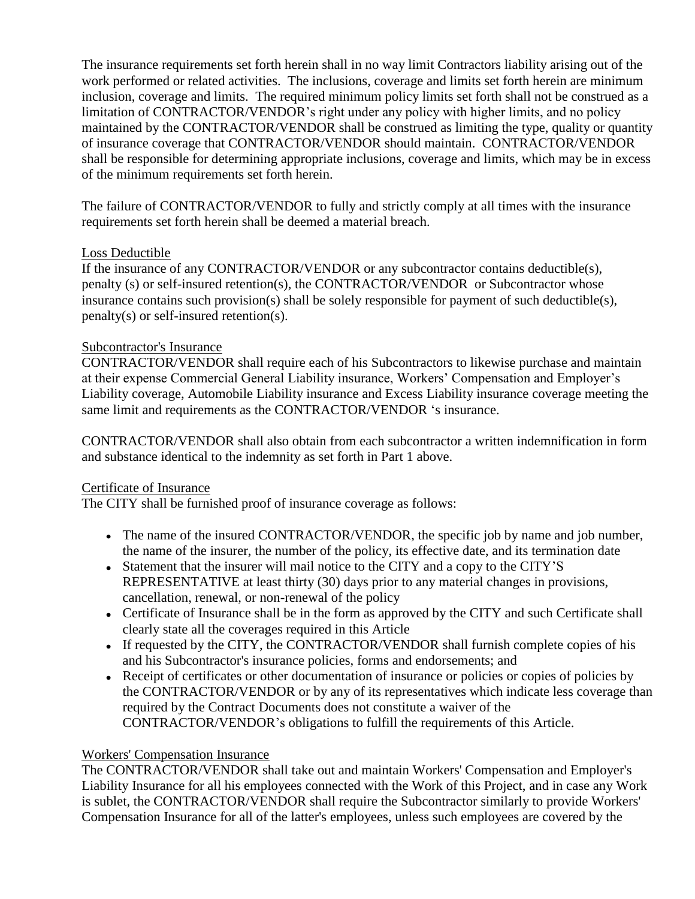The insurance requirements set forth herein shall in no way limit Contractors liability arising out of the work performed or related activities. The inclusions, coverage and limits set forth herein are minimum inclusion, coverage and limits. The required minimum policy limits set forth shall not be construed as a limitation of CONTRACTOR/VENDOR's right under any policy with higher limits, and no policy maintained by the CONTRACTOR/VENDOR shall be construed as limiting the type, quality or quantity of insurance coverage that CONTRACTOR/VENDOR should maintain. CONTRACTOR/VENDOR shall be responsible for determining appropriate inclusions, coverage and limits, which may be in excess of the minimum requirements set forth herein.

The failure of CONTRACTOR/VENDOR to fully and strictly comply at all times with the insurance requirements set forth herein shall be deemed a material breach.

# Loss Deductible

If the insurance of any CONTRACTOR/VENDOR or any subcontractor contains deductible(s), penalty (s) or self-insured retention(s), the CONTRACTOR/VENDOR or Subcontractor whose insurance contains such provision(s) shall be solely responsible for payment of such deductible(s), penalty(s) or self-insured retention(s).

## Subcontractor's Insurance

CONTRACTOR/VENDOR shall require each of his Subcontractors to likewise purchase and maintain at their expense Commercial General Liability insurance, Workers' Compensation and Employer's Liability coverage, Automobile Liability insurance and Excess Liability insurance coverage meeting the same limit and requirements as the CONTRACTOR/VENDOR 's insurance.

CONTRACTOR/VENDOR shall also obtain from each subcontractor a written indemnification in form and substance identical to the indemnity as set forth in Part 1 above.

# Certificate of Insurance

The CITY shall be furnished proof of insurance coverage as follows:

- The name of the insured CONTRACTOR/VENDOR, the specific job by name and job number, the name of the insurer, the number of the policy, its effective date, and its termination date
- Statement that the insurer will mail notice to the CITY and a copy to the CITY'S REPRESENTATIVE at least thirty (30) days prior to any material changes in provisions, cancellation, renewal, or non-renewal of the policy
- Certificate of Insurance shall be in the form as approved by the CITY and such Certificate shall clearly state all the coverages required in this Article
- If requested by the CITY, the CONTRACTOR/VENDOR shall furnish complete copies of his and his Subcontractor's insurance policies, forms and endorsements; and
- Receipt of certificates or other documentation of insurance or policies or copies of policies by the CONTRACTOR/VENDOR or by any of its representatives which indicate less coverage than required by the Contract Documents does not constitute a waiver of the CONTRACTOR/VENDOR's obligations to fulfill the requirements of this Article.

# Workers' Compensation Insurance

The CONTRACTOR/VENDOR shall take out and maintain Workers' Compensation and Employer's Liability Insurance for all his employees connected with the Work of this Project, and in case any Work is sublet, the CONTRACTOR/VENDOR shall require the Subcontractor similarly to provide Workers' Compensation Insurance for all of the latter's employees, unless such employees are covered by the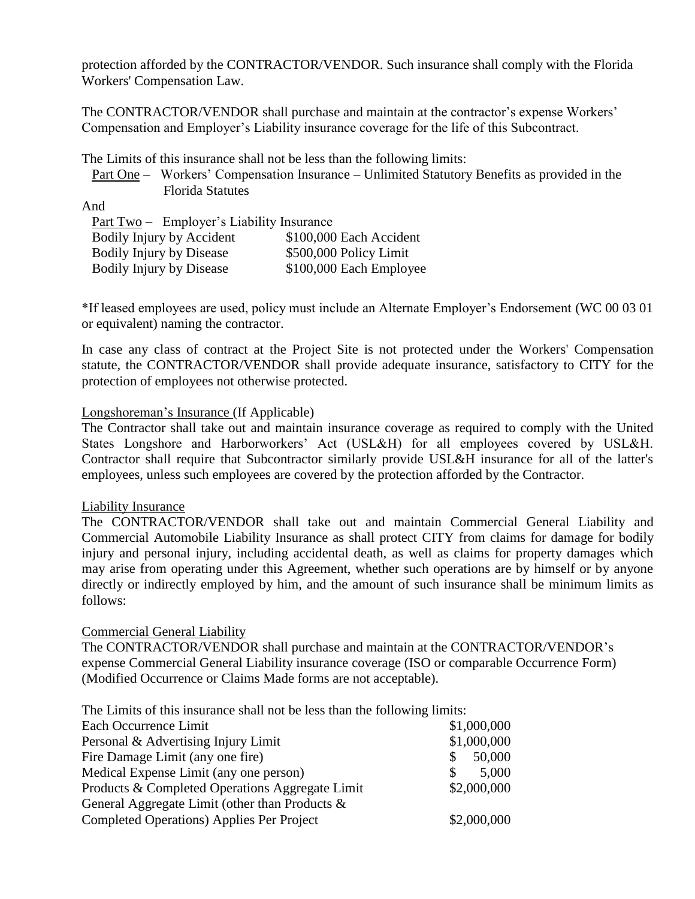protection afforded by the CONTRACTOR/VENDOR. Such insurance shall comply with the Florida Workers' Compensation Law.

The CONTRACTOR/VENDOR shall purchase and maintain at the contractor's expense Workers' Compensation and Employer's Liability insurance coverage for the life of this Subcontract.

The Limits of this insurance shall not be less than the following limits:

 Part One – Workers' Compensation Insurance – Unlimited Statutory Benefits as provided in the Florida Statutes

And

| Part Two - Employer's Liability Insurance |                         |  |
|-------------------------------------------|-------------------------|--|
| Bodily Injury by Accident                 | \$100,000 Each Accident |  |
| <b>Bodily Injury by Disease</b>           | \$500,000 Policy Limit  |  |
| <b>Bodily Injury by Disease</b>           | \$100,000 Each Employee |  |

\*If leased employees are used, policy must include an Alternate Employer's Endorsement (WC 00 03 01 or equivalent) naming the contractor.

In case any class of contract at the Project Site is not protected under the Workers' Compensation statute, the CONTRACTOR/VENDOR shall provide adequate insurance, satisfactory to CITY for the protection of employees not otherwise protected.

#### Longshoreman's Insurance (If Applicable)

The Contractor shall take out and maintain insurance coverage as required to comply with the United States Longshore and Harborworkers' Act (USL&H) for all employees covered by USL&H. Contractor shall require that Subcontractor similarly provide USL&H insurance for all of the latter's employees, unless such employees are covered by the protection afforded by the Contractor.

#### Liability Insurance

The CONTRACTOR/VENDOR shall take out and maintain Commercial General Liability and Commercial Automobile Liability Insurance as shall protect CITY from claims for damage for bodily injury and personal injury, including accidental death, as well as claims for property damages which may arise from operating under this Agreement, whether such operations are by himself or by anyone directly or indirectly employed by him, and the amount of such insurance shall be minimum limits as follows:

#### Commercial General Liability

The CONTRACTOR/VENDOR shall purchase and maintain at the CONTRACTOR/VENDOR's expense Commercial General Liability insurance coverage (ISO or comparable Occurrence Form) (Modified Occurrence or Claims Made forms are not acceptable).

The Limits of this insurance shall not be less than the following limits:

| Each Occurrence Limit                             | \$1,000,000           |
|---------------------------------------------------|-----------------------|
| Personal & Advertising Injury Limit               | \$1,000,000           |
| Fire Damage Limit (any one fire)                  | 50,000                |
| Medical Expense Limit (any one person)            | 5,000<br><sup>S</sup> |
| Products & Completed Operations Aggregate Limit   | \$2,000,000           |
| General Aggregate Limit (other than Products $\&$ |                       |
| <b>Completed Operations) Applies Per Project</b>  | \$2,000,000           |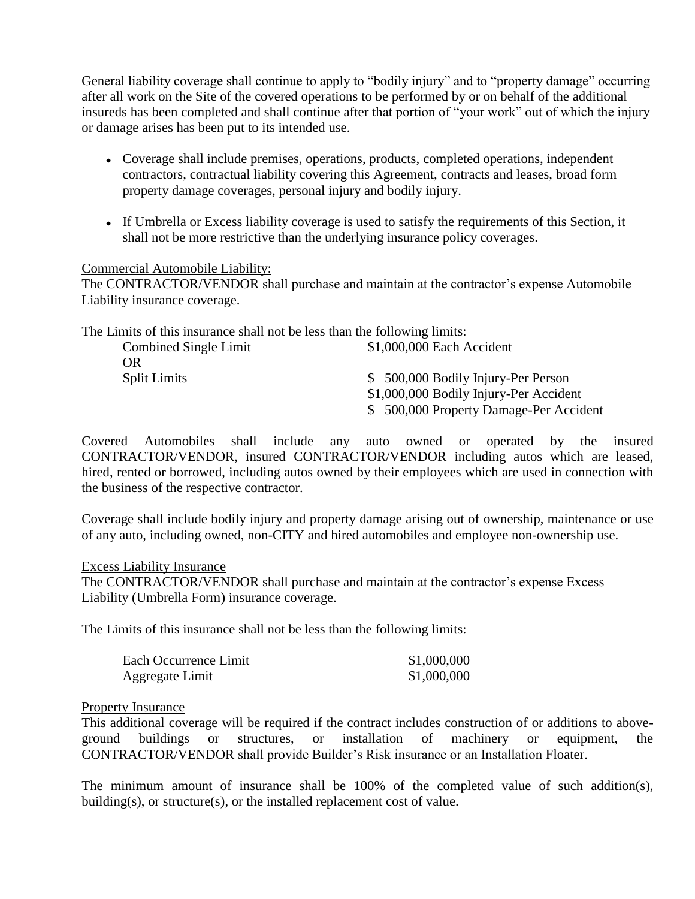General liability coverage shall continue to apply to "bodily injury" and to "property damage" occurring after all work on the Site of the covered operations to be performed by or on behalf of the additional insureds has been completed and shall continue after that portion of "your work" out of which the injury or damage arises has been put to its intended use.

- Coverage shall include premises, operations, products, completed operations, independent contractors, contractual liability covering this Agreement, contracts and leases, broad form property damage coverages, personal injury and bodily injury.
- If Umbrella or Excess liability coverage is used to satisfy the requirements of this Section, it shall not be more restrictive than the underlying insurance policy coverages.

#### Commercial Automobile Liability:

The CONTRACTOR/VENDOR shall purchase and maintain at the contractor's expense Automobile Liability insurance coverage.

The Limits of this insurance shall not be less than the following limits:

| Combined Single Limit | \$1,000,000 Each Accident               |
|-----------------------|-----------------------------------------|
| OR.                   |                                         |
| <b>Split Limits</b>   | \$ 500,000 Bodily Injury-Per Person     |
|                       | \$1,000,000 Bodily Injury-Per Accident  |
|                       | \$ 500,000 Property Damage-Per Accident |

Covered Automobiles shall include any auto owned or operated by the insured CONTRACTOR/VENDOR, insured CONTRACTOR/VENDOR including autos which are leased, hired, rented or borrowed, including autos owned by their employees which are used in connection with the business of the respective contractor.

Coverage shall include bodily injury and property damage arising out of ownership, maintenance or use of any auto, including owned, non-CITY and hired automobiles and employee non-ownership use.

#### Excess Liability Insurance

The CONTRACTOR/VENDOR shall purchase and maintain at the contractor's expense Excess Liability (Umbrella Form) insurance coverage.

The Limits of this insurance shall not be less than the following limits:

| Each Occurrence Limit | \$1,000,000 |
|-----------------------|-------------|
| Aggregate Limit       | \$1,000,000 |

#### Property Insurance

This additional coverage will be required if the contract includes construction of or additions to aboveground buildings or structures, or installation of machinery or equipment, the CONTRACTOR/VENDOR shall provide Builder's Risk insurance or an Installation Floater.

The minimum amount of insurance shall be 100% of the completed value of such addition(s), building(s), or structure(s), or the installed replacement cost of value.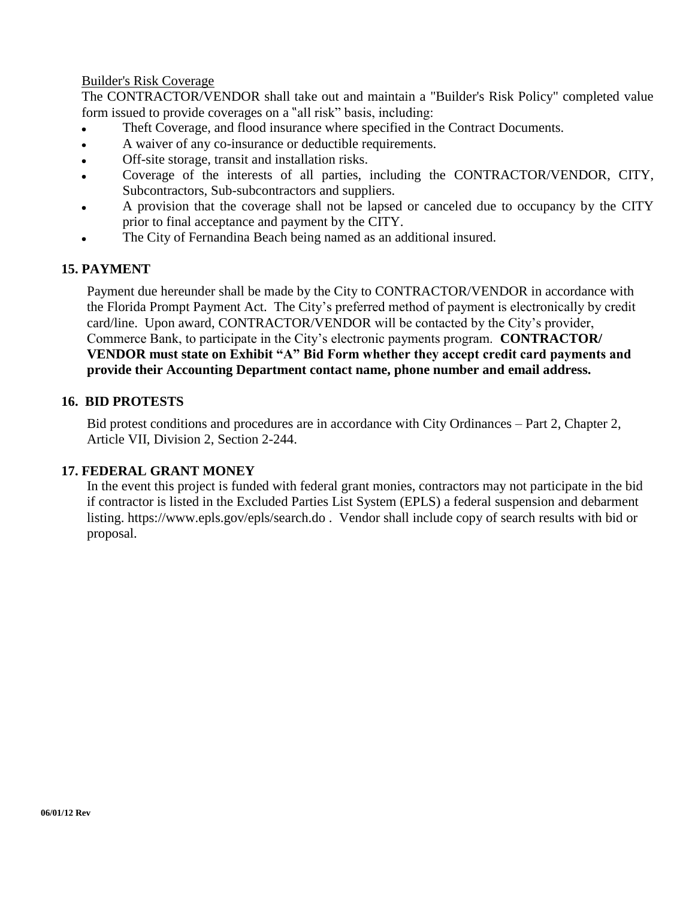#### Builder's Risk Coverage

The CONTRACTOR/VENDOR shall take out and maintain a "Builder's Risk Policy" completed value form issued to provide coverages on a "all risk" basis, including:

- Theft Coverage, and flood insurance where specified in the Contract Documents.
- A waiver of any co-insurance or deductible requirements.  $\bullet$
- Off-site storage, transit and installation risks.  $\bullet$
- Coverage of the interests of all parties, including the CONTRACTOR/VENDOR, CITY, Subcontractors, Sub-subcontractors and suppliers.
- A provision that the coverage shall not be lapsed or canceled due to occupancy by the CITY prior to final acceptance and payment by the CITY.
- The City of Fernandina Beach being named as an additional insured.

#### **15. PAYMENT**

Payment due hereunder shall be made by the City to CONTRACTOR/VENDOR in accordance with the Florida Prompt Payment Act. The City's preferred method of payment is electronically by credit card/line. Upon award, CONTRACTOR/VENDOR will be contacted by the City's provider, Commerce Bank, to participate in the City's electronic payments program. **CONTRACTOR/ VENDOR must state on Exhibit "A" Bid Form whether they accept credit card payments and provide their Accounting Department contact name, phone number and email address.**

#### **16. BID PROTESTS**

Bid protest conditions and procedures are in accordance with City Ordinances – Part 2, Chapter 2, Article VII, Division 2, Section 2-244.

#### **17. FEDERAL GRANT MONEY**

In the event this project is funded with federal grant monies, contractors may not participate in the bid if contractor is listed in the Excluded Parties List System (EPLS) a federal suspension and debarment listing.<https://www.epls.gov/epls/search.do> . Vendor shall include copy of search results with bid or proposal.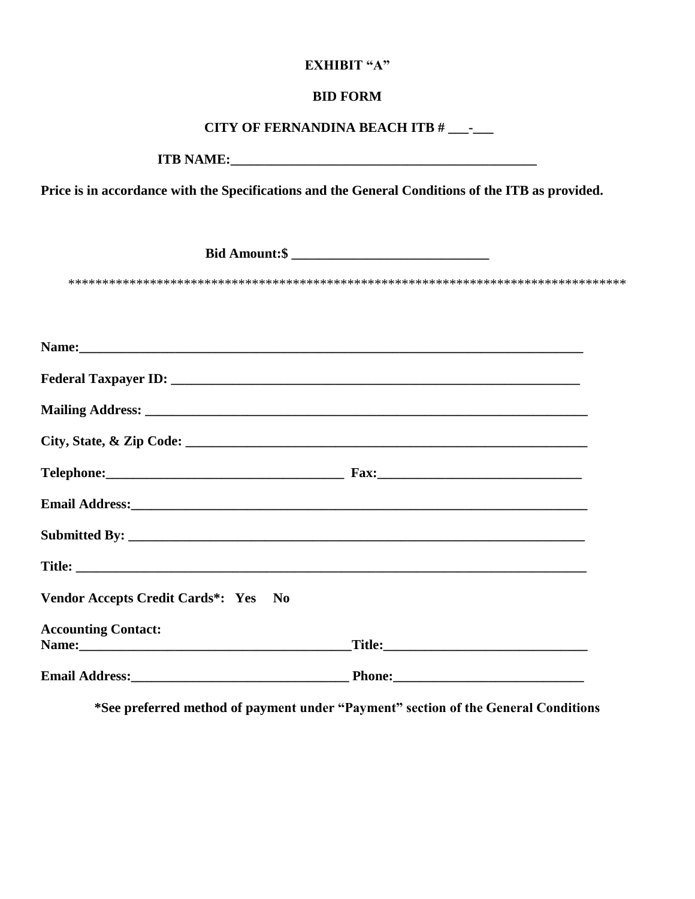## **EXHIBIT "A"**

# **BID FORM**

# **CITY OF FERNANDINA BEACH ITB # \_\_\_-\_\_\_**

**ITB NAME:\_\_\_\_\_\_\_\_\_\_\_\_\_\_\_\_\_\_\_\_\_\_\_\_\_\_\_\_\_\_\_\_\_\_\_\_\_\_\_\_\_\_\_\_\_**

**Price is in accordance with the Specifications and the General Conditions of the ITB as provided.**

**Bid Amount:\$ \_\_\_\_\_\_\_\_\_\_\_\_\_\_\_\_\_\_\_\_\_\_\_\_\_\_\_\_\_**

\*\*\*\*\*\*\*\*\*\*\*\*\*\*\*\*\*\*\*\*\*\*\*\*\*\*\*\*\*\*\*\*\*\*\*\*\*\*\*\*\*\*\*\*\*\*\*\*\*\*\*\*\*\*\*\*\*\*\*\*\*\*\*\*\*\*\*\*\*\*\*\*\*\*\*\*\*\*\*\*\*\*

| Email Address: No. 2016. The Commission of the Commission of the Commission of the Commission of the Commission of the Commission of the Commission of the Commission of the Commission of the Commission of the Commission of |  |
|--------------------------------------------------------------------------------------------------------------------------------------------------------------------------------------------------------------------------------|--|
|                                                                                                                                                                                                                                |  |
|                                                                                                                                                                                                                                |  |
| Vendor Accepts Credit Cards*: Yes No                                                                                                                                                                                           |  |
| <b>Accounting Contact:</b>                                                                                                                                                                                                     |  |
| Name: 2008. 2008. 2010. 2010. 2010. 2010. 2010. 2010. 2010. 2010. 2010. 2010. 2010. 2010. 2010. 2010. 2010. 20                                                                                                                 |  |
|                                                                                                                                                                                                                                |  |

**\*See preferred method of payment under "Payment" section of the General Conditions**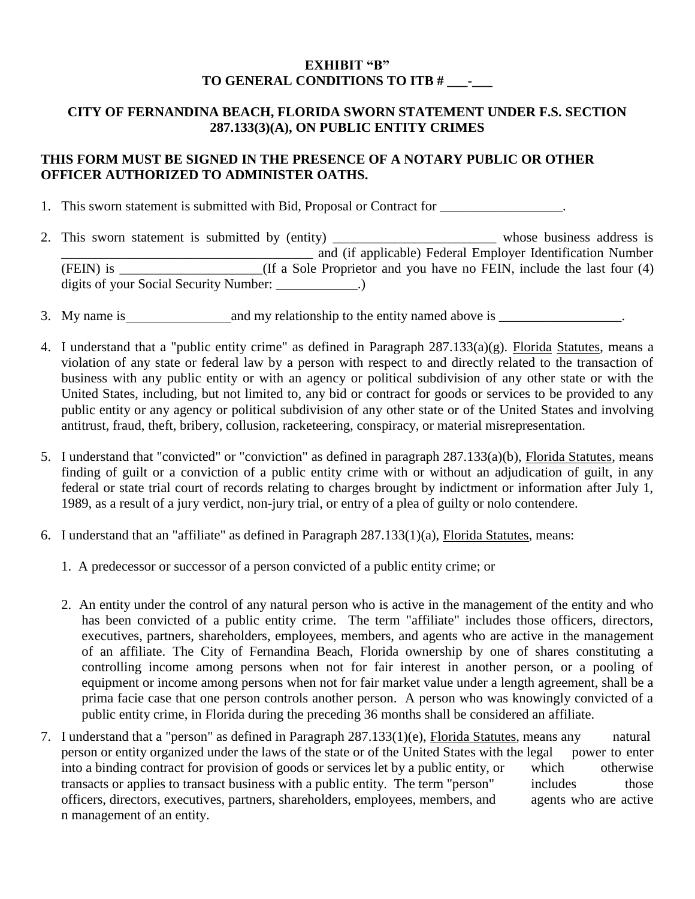# **EXHIBIT "B" TO GENERAL CONDITIONS TO ITB # \_\_\_-\_\_\_**

# **CITY OF FERNANDINA BEACH, FLORIDA SWORN STATEMENT UNDER F.S. SECTION 287.133(3)(A), ON PUBLIC ENTITY CRIMES**

# **THIS FORM MUST BE SIGNED IN THE PRESENCE OF A NOTARY PUBLIC OR OTHER OFFICER AUTHORIZED TO ADMINISTER OATHS.**

1. This sworn statement is submitted with Bid, Proposal or Contract for \_\_\_\_\_\_\_\_\_\_\_\_\_\_\_.

- 2. This sworn statement is submitted by (entity) \_\_\_\_\_\_\_\_\_\_\_\_\_\_\_\_\_\_\_\_\_\_\_\_\_ whose business address is  $\frac{1}{2}$  and (if applicable) Federal Employer Identification Number (FEIN) is (If a Sole Proprietor and you have no FEIN, include the last four (4) digits of your Social Security Number: \_\_\_\_\_\_\_\_\_\_.)
- 3. My name is and my relationship to the entity named above is \_\_\_\_\_\_\_\_\_\_\_\_\_\_\_\_\_\_.
- 4. I understand that a "public entity crime" as defined in Paragraph 287.133(a)(g). Florida Statutes, means a violation of any state or federal law by a person with respect to and directly related to the transaction of business with any public entity or with an agency or political subdivision of any other state or with the United States, including, but not limited to, any bid or contract for goods or services to be provided to any public entity or any agency or political subdivision of any other state or of the United States and involving antitrust, fraud, theft, bribery, collusion, racketeering, conspiracy, or material misrepresentation.
- 5. I understand that "convicted" or "conviction" as defined in paragraph 287.133(a)(b), Florida Statutes, means finding of guilt or a conviction of a public entity crime with or without an adjudication of guilt, in any federal or state trial court of records relating to charges brought by indictment or information after July 1, 1989, as a result of a jury verdict, non-jury trial, or entry of a plea of guilty or nolo contendere.
- 6. I understand that an "affiliate" as defined in Paragraph 287.133(1)(a), Florida Statutes, means:
	- 1. A predecessor or successor of a person convicted of a public entity crime; or
	- 2. An entity under the control of any natural person who is active in the management of the entity and who has been convicted of a public entity crime. The term "affiliate" includes those officers, directors, executives, partners, shareholders, employees, members, and agents who are active in the management of an affiliate. The City of Fernandina Beach, Florida ownership by one of shares constituting a controlling income among persons when not for fair interest in another person, or a pooling of equipment or income among persons when not for fair market value under a length agreement, shall be a prima facie case that one person controls another person. A person who was knowingly convicted of a public entity crime, in Florida during the preceding 36 months shall be considered an affiliate.
- 7. I understand that a "person" as defined in Paragraph 287.133(1)(e), Florida Statutes, means any natural person or entity organized under the laws of the state or of the United States with the legal power to enter into a binding contract for provision of goods or services let by a public entity, or which otherwise transacts or applies to transact business with a public entity. The term "person" includes those officers, directors, executives, partners, shareholders, employees, members, and agents who are active n management of an entity.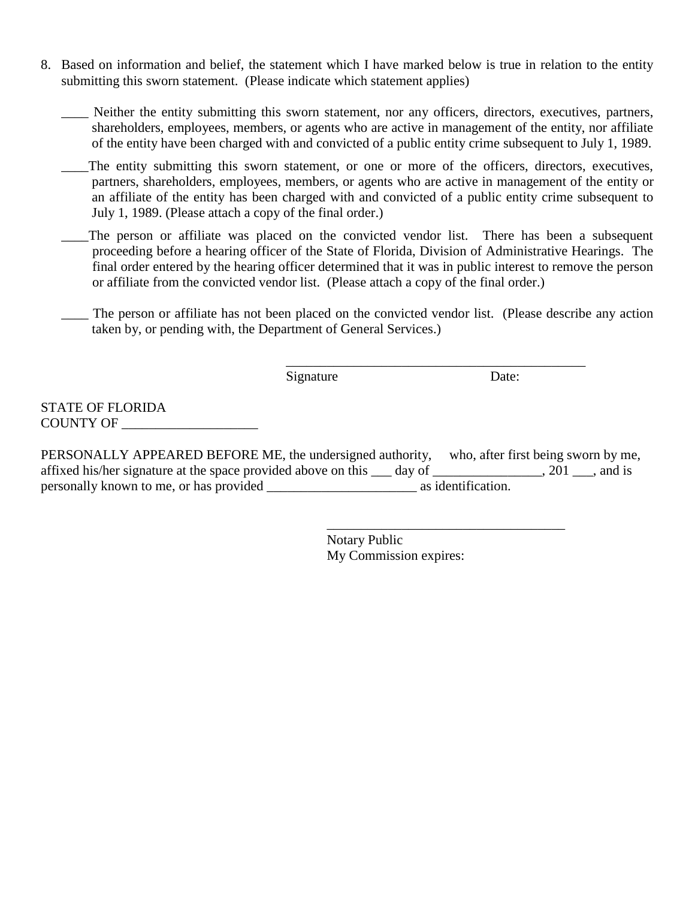8. Based on information and belief, the statement which I have marked below is true in relation to the entity submitting this sworn statement. (Please indicate which statement applies)

\_\_\_\_ Neither the entity submitting this sworn statement, nor any officers, directors, executives, partners, shareholders, employees, members, or agents who are active in management of the entity, nor affiliate of the entity have been charged with and convicted of a public entity crime subsequent to July 1, 1989.

The entity submitting this sworn statement, or one or more of the officers, directors, executives, partners, shareholders, employees, members, or agents who are active in management of the entity or an affiliate of the entity has been charged with and convicted of a public entity crime subsequent to July 1, 1989. (Please attach a copy of the final order.)

The person or affiliate was placed on the convicted vendor list. There has been a subsequent proceeding before a hearing officer of the State of Florida, Division of Administrative Hearings. The final order entered by the hearing officer determined that it was in public interest to remove the person or affiliate from the convicted vendor list. (Please attach a copy of the final order.)

\_\_\_\_ The person or affiliate has not been placed on the convicted vendor list. (Please describe any action taken by, or pending with, the Department of General Services.)

Signature Date:

\_\_\_\_\_\_\_\_\_\_\_\_\_\_\_\_\_\_\_\_\_\_\_\_\_\_\_\_\_\_\_\_\_\_\_\_\_\_\_\_\_\_\_\_

STATE OF FLORIDA COUNTY OF

PERSONALLY APPEARED BEFORE ME, the undersigned authority, who, after first being sworn by me, affixed his/her signature at the space provided above on this \_\_\_ day of \_\_\_\_\_\_\_\_\_\_\_\_\_\_, 201 \_\_\_, and is personally known to me, or has provided \_\_\_\_\_\_\_\_\_\_\_\_\_\_\_\_\_\_\_\_\_\_ as identification.

> \_\_\_\_\_\_\_\_\_\_\_\_\_\_\_\_\_\_\_\_\_\_\_\_\_\_\_\_\_\_\_\_\_\_\_ Notary Public My Commission expires: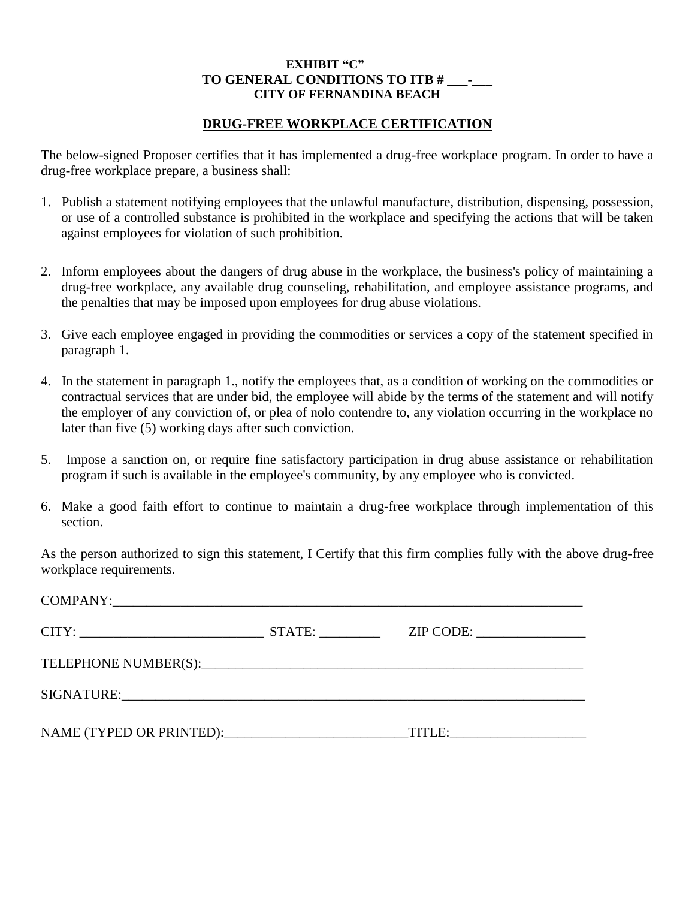#### **EXHIBIT "C" TO GENERAL CONDITIONS TO ITB # \_\_\_-\_\_\_ CITY OF FERNANDINA BEACH**

#### **DRUG-FREE WORKPLACE CERTIFICATION**

The below-signed Proposer certifies that it has implemented a drug-free workplace program. In order to have a drug-free workplace prepare, a business shall:

- 1. Publish a statement notifying employees that the unlawful manufacture, distribution, dispensing, possession, or use of a controlled substance is prohibited in the workplace and specifying the actions that will be taken against employees for violation of such prohibition.
- 2. Inform employees about the dangers of drug abuse in the workplace, the business's policy of maintaining a drug-free workplace, any available drug counseling, rehabilitation, and employee assistance programs, and the penalties that may be imposed upon employees for drug abuse violations.
- 3. Give each employee engaged in providing the commodities or services a copy of the statement specified in paragraph 1.
- 4. In the statement in paragraph 1., notify the employees that, as a condition of working on the commodities or contractual services that are under bid, the employee will abide by the terms of the statement and will notify the employer of any conviction of, or plea of nolo contendre to, any violation occurring in the workplace no later than five (5) working days after such conviction.
- 5. Impose a sanction on, or require fine satisfactory participation in drug abuse assistance or rehabilitation program if such is available in the employee's community, by any employee who is convicted.
- 6. Make a good faith effort to continue to maintain a drug-free workplace through implementation of this section.

As the person authorized to sign this statement, I Certify that this firm complies fully with the above drug-free workplace requirements.

| NAME (TYPED OR PRINTED): |  |
|--------------------------|--|